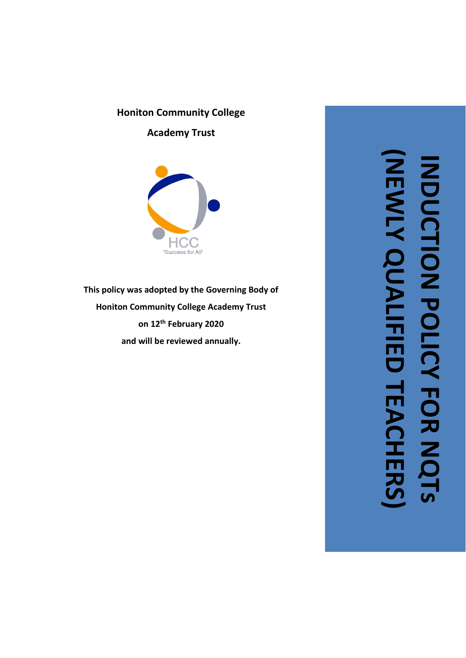# **Honiton Community College**

**Academy Trust**



**This policy was adopted by the Governing Body of Honiton Community College Academy Trust on 12th February 2020 and wil l be reviewed annually.**

**(NEWLY QUALIFIED TEACHERS)**INDUCTION POLICY FOR NC<br>INDUCTION POLICY FOR NC **INDUCTION POLICY FOR NQTs LEACHERS**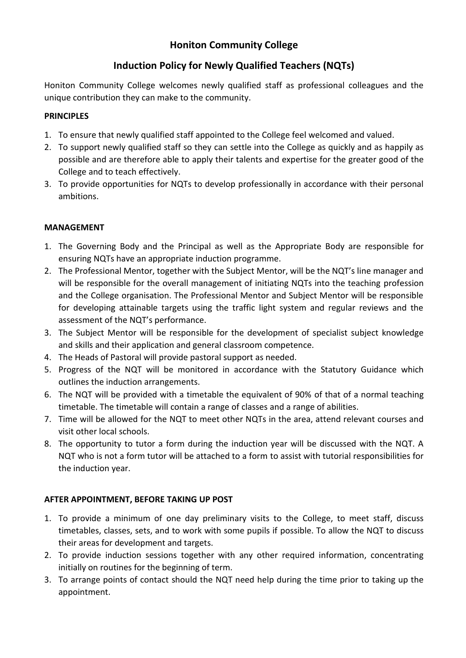# **Honiton Community College**

# **Induction Policy for Newly Qualified Teachers (NQTs)**

Honiton Community College welcomes newly qualified staff as professional colleagues and the unique contribution they can make to the community.

### **PRINCIPLES**

- 1. To ensure that newly qualified staff appointed to the College feel welcomed and valued.
- 2. To support newly qualified staff so they can settle into the College as quickly and as happily as possible and are therefore able to apply their talents and expertise for the greater good of the College and to teach effectively.
- 3. To provide opportunities for NQTs to develop professionally in accordance with their personal ambitions.

### **MANAGEMENT**

- 1. The Governing Body and the Principal as well as the Appropriate Body are responsible for ensuring NQTs have an appropriate induction programme.
- 2. The Professional Mentor, together with the Subject Mentor, will be the NQT's line manager and will be responsible for the overall management of initiating NQTs into the teaching profession and the College organisation. The Professional Mentor and Subject Mentor will be responsible for developing attainable targets using the traffic light system and regular reviews and the assessment of the NQT's performance.
- 3. The Subject Mentor will be responsible for the development of specialist subject knowledge and skills and their application and general classroom competence.
- 4. The Heads of Pastoral will provide pastoral support as needed.
- 5. Progress of the NQT will be monitored in accordance with the Statutory Guidance which outlines the induction arrangements.
- 6. The NQT will be provided with a timetable the equivalent of 90% of that of a normal teaching timetable. The timetable will contain a range of classes and a range of abilities.
- 7. Time will be allowed for the NQT to meet other NQTs in the area, attend relevant courses and visit other local schools.
- 8. The opportunity to tutor a form during the induction year will be discussed with the NQT. A NQT who is not a form tutor will be attached to a form to assist with tutorial responsibilities for the induction year.

## **AFTER APPOINTMENT, BEFORE TAKING UP POST**

- 1. To provide a minimum of one day preliminary visits to the College, to meet staff, discuss timetables, classes, sets, and to work with some pupils if possible. To allow the NQT to discuss their areas for development and targets.
- 2. To provide induction sessions together with any other required information, concentrating initially on routines for the beginning of term.
- 3. To arrange points of contact should the NQT need help during the time prior to taking up the appointment.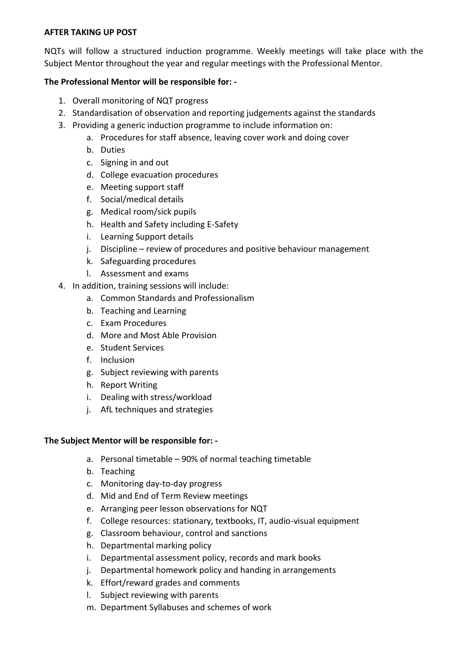#### **AFTER TAKING UP POST**

NQTs will follow a structured induction programme. Weekly meetings will take place with the Subject Mentor throughout the year and regular meetings with the Professional Mentor.

#### **The Professional Mentor will be responsible for: -**

- 1. Overall monitoring of NQT progress
- 2. Standardisation of observation and reporting judgements against the standards
- 3. Providing a generic induction programme to include information on:
	- a. Procedures for staff absence, leaving cover work and doing cover
	- b. Duties
	- c. Signing in and out
	- d. College evacuation procedures
	- e. Meeting support staff
	- f. Social/medical details
	- g. Medical room/sick pupils
	- h. Health and Safety including E-Safety
	- i. Learning Support details
	- j. Discipline review of procedures and positive behaviour management
	- k. Safeguarding procedures
	- l. Assessment and exams
- 4. In addition, training sessions will include:
	- a. Common Standards and Professionalism
	- b. Teaching and Learning
	- c. Exam Procedures
	- d. More and Most Able Provision
	- e. Student Services
	- f. Inclusion
	- g. Subject reviewing with parents
	- h. Report Writing
	- i. Dealing with stress/workload
	- j. AfL techniques and strategies

#### **The Subject Mentor will be responsible for: -**

- a. Personal timetable 90% of normal teaching timetable
- b. Teaching
- c. Monitoring day-to-day progress
- d. Mid and End of Term Review meetings
- e. Arranging peer lesson observations for NQT
- f. College resources: stationary, textbooks, IT, audio-visual equipment
- g. Classroom behaviour, control and sanctions
- h. Departmental marking policy
- i. Departmental assessment policy, records and mark books
- j. Departmental homework policy and handing in arrangements
- k. Effort/reward grades and comments
- l. Subject reviewing with parents
- m. Department Syllabuses and schemes of work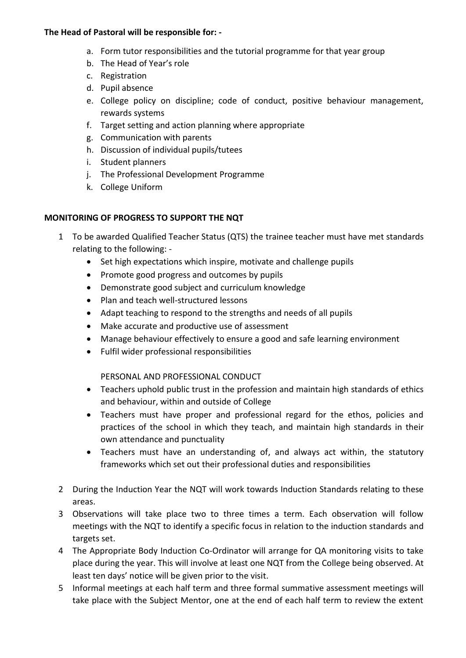#### **The Head of Pastoral will be responsible for: -**

- a. Form tutor responsibilities and the tutorial programme for that year group
- b. The Head of Year's role
- c. Registration
- d. Pupil absence
- e. College policy on discipline; code of conduct, positive behaviour management, rewards systems
- f. Target setting and action planning where appropriate
- g. Communication with parents
- h. Discussion of individual pupils/tutees
- i. Student planners
- j. The Professional Development Programme
- k. College Uniform

#### **MONITORING OF PROGRESS TO SUPPORT THE NQT**

- 1 To be awarded Qualified Teacher Status (QTS) the trainee teacher must have met standards relating to the following: -
	- Set high expectations which inspire, motivate and challenge pupils
	- Promote good progress and outcomes by pupils
	- Demonstrate good subject and curriculum knowledge
	- Plan and teach well-structured lessons
	- Adapt teaching to respond to the strengths and needs of all pupils
	- Make accurate and productive use of assessment
	- Manage behaviour effectively to ensure a good and safe learning environment
	- Fulfil wider professional responsibilities

#### PERSONAL AND PROFESSIONAL CONDUCT

- Teachers uphold public trust in the profession and maintain high standards of ethics and behaviour, within and outside of College
- Teachers must have proper and professional regard for the ethos, policies and practices of the school in which they teach, and maintain high standards in their own attendance and punctuality
- Teachers must have an understanding of, and always act within, the statutory frameworks which set out their professional duties and responsibilities
- 2 During the Induction Year the NQT will work towards Induction Standards relating to these areas.
- 3 Observations will take place two to three times a term. Each observation will follow meetings with the NQT to identify a specific focus in relation to the induction standards and targets set.
- 4 The Appropriate Body Induction Co-Ordinator will arrange for QA monitoring visits to take place during the year. This will involve at least one NQT from the College being observed. At least ten days' notice will be given prior to the visit.
- 5 Informal meetings at each half term and three formal summative assessment meetings will take place with the Subject Mentor, one at the end of each half term to review the extent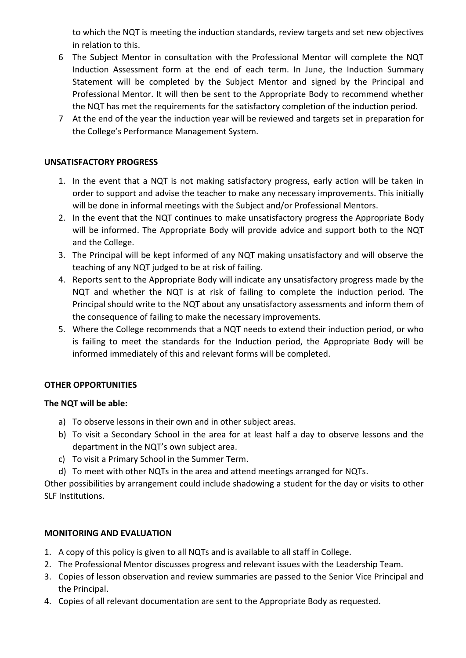to which the NQT is meeting the induction standards, review targets and set new objectives in relation to this.

- 6 The Subject Mentor in consultation with the Professional Mentor will complete the NQT Induction Assessment form at the end of each term. In June, the Induction Summary Statement will be completed by the Subject Mentor and signed by the Principal and Professional Mentor. It will then be sent to the Appropriate Body to recommend whether the NQT has met the requirements for the satisfactory completion of the induction period.
- 7 At the end of the year the induction year will be reviewed and targets set in preparation for the College's Performance Management System.

#### **UNSATISFACTORY PROGRESS**

- 1. In the event that a NQT is not making satisfactory progress, early action will be taken in order to support and advise the teacher to make any necessary improvements. This initially will be done in informal meetings with the Subject and/or Professional Mentors.
- 2. In the event that the NQT continues to make unsatisfactory progress the Appropriate Body will be informed. The Appropriate Body will provide advice and support both to the NQT and the College.
- 3. The Principal will be kept informed of any NQT making unsatisfactory and will observe the teaching of any NQT judged to be at risk of failing.
- 4. Reports sent to the Appropriate Body will indicate any unsatisfactory progress made by the NQT and whether the NQT is at risk of failing to complete the induction period. The Principal should write to the NQT about any unsatisfactory assessments and inform them of the consequence of failing to make the necessary improvements.
- 5. Where the College recommends that a NQT needs to extend their induction period, or who is failing to meet the standards for the Induction period, the Appropriate Body will be informed immediately of this and relevant forms will be completed.

## **OTHER OPPORTUNITIES**

#### **The NQT will be able:**

- a) To observe lessons in their own and in other subject areas.
- b) To visit a Secondary School in the area for at least half a day to observe lessons and the department in the NQT's own subject area.
- c) To visit a Primary School in the Summer Term.
- d) To meet with other NQTs in the area and attend meetings arranged for NQTs.

Other possibilities by arrangement could include shadowing a student for the day or visits to other SLF Institutions.

#### **MONITORING AND EVALUATION**

- 1. A copy of this policy is given to all NQTs and is available to all staff in College.
- 2. The Professional Mentor discusses progress and relevant issues with the Leadership Team.
- 3. Copies of lesson observation and review summaries are passed to the Senior Vice Principal and the Principal.
- 4. Copies of all relevant documentation are sent to the Appropriate Body as requested.